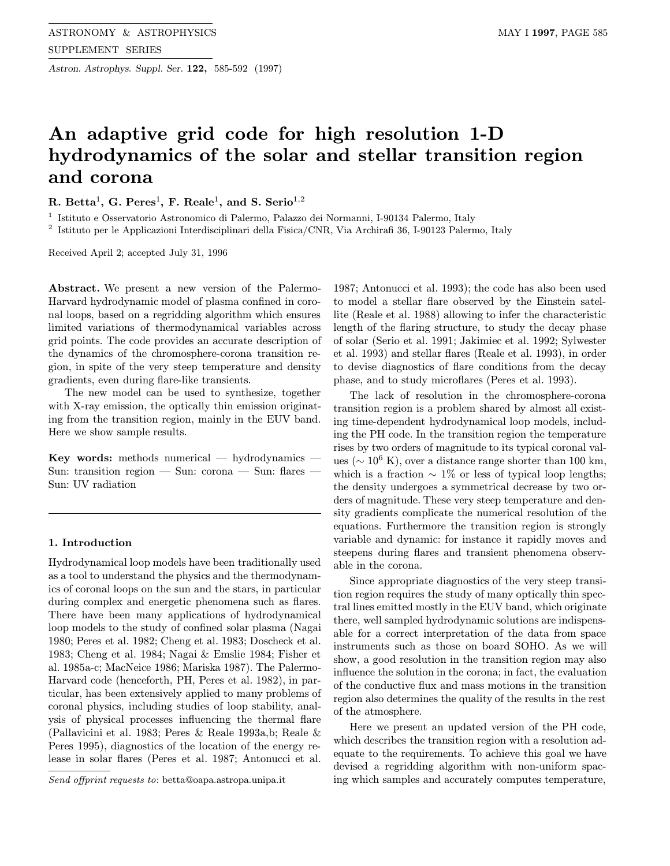Astron. Astrophys. Suppl. Ser. 122, 585-592 (1997)

# An adaptive grid code for high resolution 1-D hydrodynamics of the solar and stellar transition region and corona

R. Betta<sup>1</sup>, G. Peres<sup>1</sup>, F. Reale<sup>1</sup>, and S. Serio<sup>1,2</sup>

<sup>1</sup> Istituto e Osservatorio Astronomico di Palermo, Palazzo dei Normanni, I-90134 Palermo, Italy

<sup>2</sup> Istituto per le Applicazioni Interdisciplinari della Fisica/CNR, Via Archirafi 36, I-90123 Palermo, Italy

Received April 2; accepted July 31, 1996

Abstract. We present a new version of the Palermo-Harvard hydrodynamic model of plasma confined in coronal loops, based on a regridding algorithm which ensures limited variations of thermodynamical variables across grid points. The code provides an accurate description of the dynamics of the chromosphere-corona transition region, in spite of the very steep temperature and density gradients, even during flare-like transients.

The new model can be used to synthesize, together with X-ray emission, the optically thin emission originating from the transition region, mainly in the EUV band. Here we show sample results.

Key words: methods numerical — hydrodynamics — Sun: transition region — Sun: corona — Sun: flares — Sun: UV radiation

## 1. Introduction

Hydrodynamical loop models have been traditionally used as a tool to understand the physics and the thermodynamics of coronal loops on the sun and the stars, in particular during complex and energetic phenomena such as flares. There have been many applications of hydrodynamical loop models to the study of confined solar plasma (Nagai 1980; Peres et al. 1982; Cheng et al. 1983; Doscheck et al. 1983; Cheng et al. 1984; Nagai & Emslie 1984; Fisher et al. 1985a-c; MacNeice 1986; Mariska 1987). The Palermo-Harvard code (henceforth, PH, Peres et al. 1982), in particular, has been extensively applied to many problems of coronal physics, including studies of loop stability, analysis of physical processes influencing the thermal flare (Pallavicini et al. 1983; Peres & Reale 1993a,b; Reale & Peres 1995), diagnostics of the location of the energy release in solar flares (Peres et al. 1987; Antonucci et al.

Send offprint requests to: betta@oapa.astropa.unipa.it

1987; Antonucci et al. 1993); the code has also been used to model a stellar flare observed by the Einstein satellite (Reale et al. 1988) allowing to infer the characteristic length of the flaring structure, to study the decay phase of solar (Serio et al. 1991; Jakimiec et al. 1992; Sylwester et al. 1993) and stellar flares (Reale et al. 1993), in order to devise diagnostics of flare conditions from the decay phase, and to study microflares (Peres et al. 1993).

The lack of resolution in the chromosphere-corona transition region is a problem shared by almost all existing time-dependent hydrodynamical loop models, including the PH code. In the transition region the temperature rises by two orders of magnitude to its typical coronal values ( $\sim 10^6$  K), over a distance range shorter than 100 km, which is a fraction  $\sim 1\%$  or less of typical loop lengths; the density undergoes a symmetrical decrease by two orders of magnitude. These very steep temperature and density gradients complicate the numerical resolution of the equations. Furthermore the transition region is strongly variable and dynamic: for instance it rapidly moves and steepens during flares and transient phenomena observable in the corona.

Since appropriate diagnostics of the very steep transition region requires the study of many optically thin spectral lines emitted mostly in the EUV band, which originate there, well sampled hydrodynamic solutions are indispensable for a correct interpretation of the data from space instruments such as those on board SOHO. As we will show, a good resolution in the transition region may also influence the solution in the corona; in fact, the evaluation of the conductive flux and mass motions in the transition region also determines the quality of the results in the rest of the atmosphere.

Here we present an updated version of the PH code, which describes the transition region with a resolution adequate to the requirements. To achieve this goal we have devised a regridding algorithm with non-uniform spacing which samples and accurately computes temperature,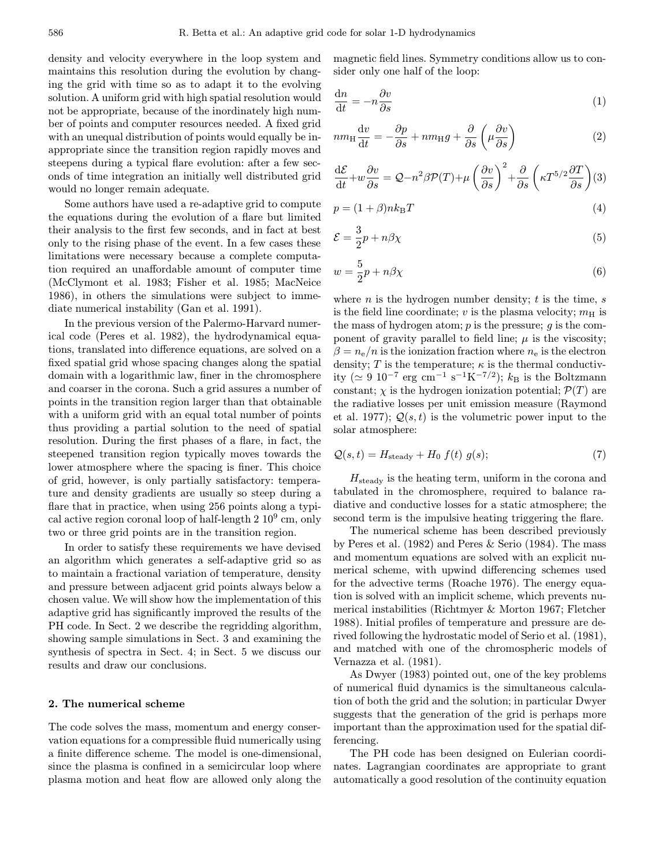density and velocity everywhere in the loop system and maintains this resolution during the evolution by changing the grid with time so as to adapt it to the evolving solution. A uniform grid with high spatial resolution would not be appropriate, because of the inordinately high number of points and computer resources needed. A fixed grid with an unequal distribution of points would equally be inappropriate since the transition region rapidly moves and steepens during a typical flare evolution: after a few seconds of time integration an initially well distributed grid would no longer remain adequate.

Some authors have used a re-adaptive grid to compute the equations during the evolution of a flare but limited their analysis to the first few seconds, and in fact at best only to the rising phase of the event. In a few cases these limitations were necessary because a complete computation required an unaffordable amount of computer time (McClymont et al. 1983; Fisher et al. 1985; MacNeice 1986), in others the simulations were subject to immediate numerical instability (Gan et al. 1991).

In the previous version of the Palermo-Harvard numerical code (Peres et al. 1982), the hydrodynamical equations, translated into difference equations, are solved on a fixed spatial grid whose spacing changes along the spatial domain with a logarithmic law, finer in the chromosphere and coarser in the corona. Such a grid assures a number of points in the transition region larger than that obtainable with a uniform grid with an equal total number of points thus providing a partial solution to the need of spatial resolution. During the first phases of a flare, in fact, the steepened transition region typically moves towards the lower atmosphere where the spacing is finer. This choice of grid, however, is only partially satisfactory: temperature and density gradients are usually so steep during a flare that in practice, when using 256 points along a typical active region coronal loop of half-length  $2\ 10^9$  cm, only two or three grid points are in the transition region.

In order to satisfy these requirements we have devised an algorithm which generates a self-adaptive grid so as to maintain a fractional variation of temperature, density and pressure between adjacent grid points always below a chosen value. We will show how the implementation of this adaptive grid has significantly improved the results of the PH code. In Sect. 2 we describe the regridding algorithm, showing sample simulations in Sect. 3 and examining the synthesis of spectra in Sect. 4; in Sect. 5 we discuss our results and draw our conclusions.

## 2. The numerical scheme

The code solves the mass, momentum and energy conservation equations for a compressible fluid numerically using a finite difference scheme. The model is one-dimensional, since the plasma is confined in a semicircular loop where plasma motion and heat flow are allowed only along the magnetic field lines. Symmetry conditions allow us to consider only one half of the loop:

$$
\frac{\mathrm{d}n}{\mathrm{d}t} = -n \frac{\partial v}{\partial s} \tag{1}
$$

$$
nm_{\rm H} \frac{\mathrm{d}v}{\mathrm{d}t} = -\frac{\partial p}{\partial s} + nm_{\rm H}g + \frac{\partial}{\partial s} \left(\mu \frac{\partial v}{\partial s}\right) \tag{2}
$$

$$
\frac{\mathrm{d}\mathcal{E}}{\mathrm{d}t} + w\frac{\partial v}{\partial s} = Q - n^2\beta \mathcal{P}(T) + \mu \left(\frac{\partial v}{\partial s}\right)^2 + \frac{\partial}{\partial s} \left(\kappa T^{5/2} \frac{\partial T}{\partial s}\right)(3)
$$

$$
p = (1 + \beta)nk_{\rm B}T\tag{4}
$$

$$
\mathcal{E} = \frac{3}{2}p + n\beta\chi\tag{5}
$$

$$
w = \frac{5}{2}p + n\beta\chi\tag{6}
$$

where  $n$  is the hydrogen number density;  $t$  is the time,  $s$ is the field line coordinate;  $v$  is the plasma velocity;  $m<sub>H</sub>$  is the mass of hydrogen atom;  $p$  is the pressure;  $q$  is the component of gravity parallel to field line;  $\mu$  is the viscosity;  $\beta = n_e/n$  is the ionization fraction where  $n_e$  is the electron density; T is the temperature;  $\kappa$  is the thermal conductivity ( $\simeq 9 \, 10^{-7} \, \text{erg} \, \text{cm}^{-1} \, \text{s}^{-1} \text{K}^{-7/2}$ );  $k_{\text{B}}$  is the Boltzmann constant;  $\chi$  is the hydrogen ionization potential;  $\mathcal{P}(T)$  are the radiative losses per unit emission measure (Raymond et al. 1977);  $Q(s, t)$  is the volumetric power input to the solar atmosphere:

$$
Q(s,t) = H_{\text{steady}} + H_0 f(t) g(s); \tag{7}
$$

 $H_{\text{steady}}$  is the heating term, uniform in the corona and tabulated in the chromosphere, required to balance radiative and conductive losses for a static atmosphere; the second term is the impulsive heating triggering the flare.

The numerical scheme has been described previously by Peres et al. (1982) and Peres & Serio (1984). The mass and momentum equations are solved with an explicit numerical scheme, with upwind differencing schemes used for the advective terms (Roache 1976). The energy equation is solved with an implicit scheme, which prevents numerical instabilities (Richtmyer & Morton 1967; Fletcher 1988). Initial profiles of temperature and pressure are derived following the hydrostatic model of Serio et al. (1981), and matched with one of the chromospheric models of Vernazza et al. (1981).

As Dwyer (1983) pointed out, one of the key problems of numerical fluid dynamics is the simultaneous calculation of both the grid and the solution; in particular Dwyer suggests that the generation of the grid is perhaps more important than the approximation used for the spatial differencing.

The PH code has been designed on Eulerian coordinates. Lagrangian coordinates are appropriate to grant automatically a good resolution of the continuity equation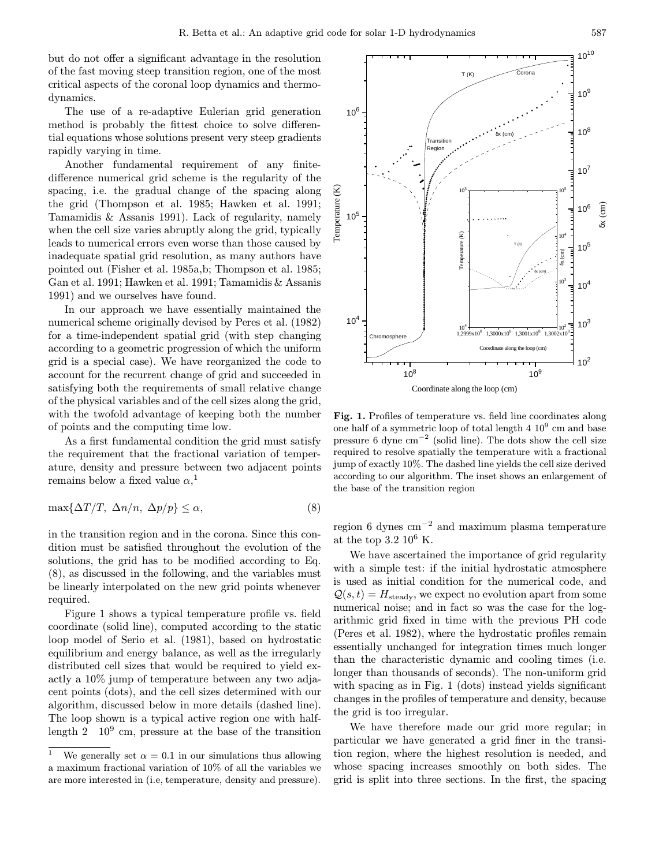but do not offer a significant advantage in the resolution of the fast moving steep transition region, one of the most critical aspects of the coronal loop dynamics and thermodynamics.

The use of a re-adaptive Eulerian grid generation method is probably the fittest choice to solve differential equations whose solutions present very steep gradients rapidly varying in time.

Another fundamental requirement of any finitedifference numerical grid scheme is the regularity of the spacing, i.e. the gradual change of the spacing along the grid (Thompson et al. 1985; Hawken et al. 1991; Tamamidis & Assanis 1991). Lack of regularity, namely when the cell size varies abruptly along the grid, typically leads to numerical errors even worse than those caused by inadequate spatial grid resolution, as many authors have pointed out (Fisher et al. 1985a,b; Thompson et al. 1985; Gan et al. 1991; Hawken et al. 1991; Tamamidis & Assanis 1991) and we ourselves have found.

In our approach we have essentially maintained the numerical scheme originally devised by Peres et al. (1982) for a time-independent spatial grid (with step changing according to a geometric progression of which the uniform grid is a special case). We have reorganized the code to account for the recurrent change of grid and succeeded in satisfying both the requirements of small relative change of the physical variables and of the cell sizes along the grid, with the twofold advantage of keeping both the number of points and the computing time low.

As a first fundamental condition the grid must satisfy the requirement that the fractional variation of temperature, density and pressure between two adjacent points remains below a fixed value  $\alpha$ ,<sup>1</sup>

$$
\max\{\Delta T/T, \ \Delta n/n, \ \Delta p/p\} \le \alpha,\tag{8}
$$

in the transition region and in the corona. Since this condition must be satisfied throughout the evolution of the solutions, the grid has to be modified according to Eq. (8), as discussed in the following, and the variables must be linearly interpolated on the new grid points whenever required.

Figure 1 shows a typical temperature profile vs. field coordinate (solid line), computed according to the static loop model of Serio et al. (1981), based on hydrostatic equilibrium and energy balance, as well as the irregularly distributed cell sizes that would be required to yield exactly a 10% jump of temperature between any two adjacent points (dots), and the cell sizes determined with our algorithm, discussed below in more details (dashed line). The loop shown is a typical active region one with halflength  $2 \times 10^9$  cm, pressure at the base of the transition

 $10<sup>9</sup>$ 106  $10^{8}$ δx (cm) Transition Region  $10^{7}$ Temperature (K) Temperature (K)  $10^5$  $10^5$ δx (cm) 106 105 Temperature (K) Temperature (K)  $10<sup>4</sup>$ T (K) 105 δx (cm) δx (cm)  $10^3$  $10<sup>4</sup>$  $10<sup>4</sup>$  $10^{3}$  $10<sup>2</sup>$  $1,2999x10^{8}$   $1,3000x10^{8}$   $1,3001x10^{8}$   $1,3002x$ Chromosphere Coordinate along the loop (cm)  $10^{2}$  $10^8$  10<sup>9</sup> Coordinate along the loop (cm)

 $T(K)$ 

Corona

Fig. 1. Profiles of temperature vs. field line coordinates along one half of a symmetric loop of total length  $4 \times 10^9$  cm and base pressure 6 dyne  $\text{cm}^{-2}$  (solid line). The dots show the cell size required to resolve spatially the temperature with a fractional jump of exactly 10%. The dashed line yields the cell size derived according to our algorithm. The inset shows an enlargement of the base of the transition region

region 6 dynes cm<sup>−</sup><sup>2</sup> and maximum plasma temperature at the top 3.2 10<sup>6</sup> K.

We have ascertained the importance of grid regularity with a simple test: if the initial hydrostatic atmosphere is used as initial condition for the numerical code, and  $Q(s,t) = H_{\text{steady}}$ , we expect no evolution apart from some numerical noise; and in fact so was the case for the logarithmic grid fixed in time with the previous PH code (Peres et al. 1982), where the hydrostatic profiles remain essentially unchanged for integration times much longer than the characteristic dynamic and cooling times (i.e. longer than thousands of seconds). The non-uniform grid with spacing as in Fig. 1 (dots) instead yields significant changes in the profiles of temperature and density, because the grid is too irregular.

We have therefore made our grid more regular; in particular we have generated a grid finer in the transition region, where the highest resolution is needed, and whose spacing increases smoothly on both sides. The grid is split into three sections. In the first, the spacing

 $10^{10}$ 

<sup>&</sup>lt;sup>1</sup> We generally set  $\alpha = 0.1$  in our simulations thus allowing a maximum fractional variation of 10% of all the variables we are more interested in (i.e, temperature, density and pressure).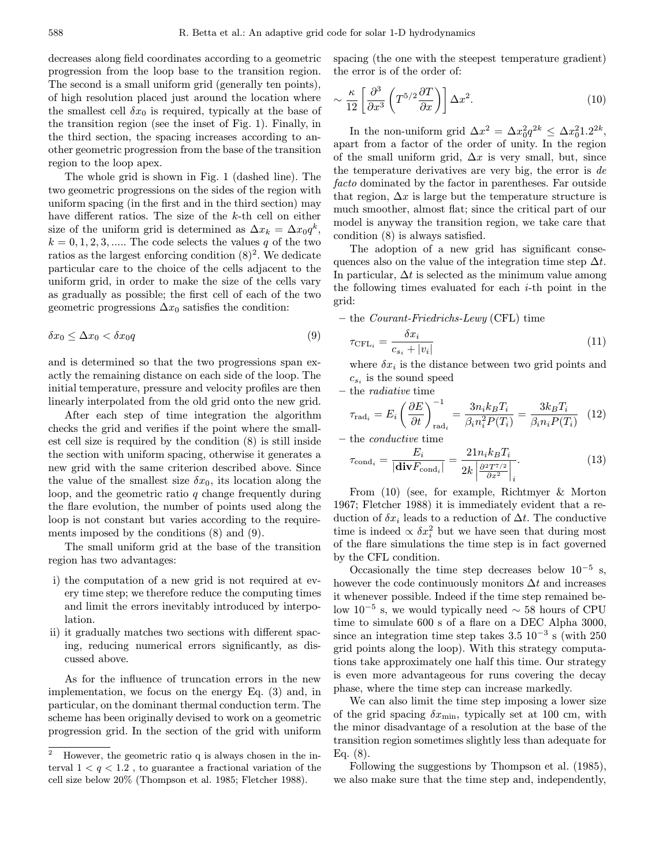decreases along field coordinates according to a geometric progression from the loop base to the transition region. The second is a small uniform grid (generally ten points), of high resolution placed just around the location where the smallest cell  $\delta x_0$  is required, typically at the base of the transition region (see the inset of Fig. 1). Finally, in the third section, the spacing increases according to another geometric progression from the base of the transition region to the loop apex.

The whole grid is shown in Fig. 1 (dashed line). The two geometric progressions on the sides of the region with uniform spacing (in the first and in the third section) may have different ratios. The size of the k-th cell on either size of the uniform grid is determined as  $\Delta x_k = \Delta x_0 q^k$ ,  $k = 0, 1, 2, 3, \dots$  The code selects the values q of the two ratios as the largest enforcing condition  $(8)^2$ . We dedicate particular care to the choice of the cells adjacent to the uniform grid, in order to make the size of the cells vary as gradually as possible; the first cell of each of the two geometric progressions  $\Delta x_0$  satisfies the condition:

$$
\delta x_0 \le \Delta x_0 < \delta x_0 q \tag{9}
$$

and is determined so that the two progressions span exactly the remaining distance on each side of the loop. The initial temperature, pressure and velocity profiles are then linearly interpolated from the old grid onto the new grid.

After each step of time integration the algorithm checks the grid and verifies if the point where the smallest cell size is required by the condition (8) is still inside the section with uniform spacing, otherwise it generates a new grid with the same criterion described above. Since the value of the smallest size  $\delta x_0$ , its location along the loop, and the geometric ratio  $q$  change frequently during the flare evolution, the number of points used along the loop is not constant but varies according to the requirements imposed by the conditions (8) and (9).

The small uniform grid at the base of the transition region has two advantages:

- i) the computation of a new grid is not required at every time step; we therefore reduce the computing times and limit the errors inevitably introduced by interpolation.
- ii) it gradually matches two sections with different spacing, reducing numerical errors significantly, as discussed above.

As for the influence of truncation errors in the new implementation, we focus on the energy Eq. (3) and, in particular, on the dominant thermal conduction term. The scheme has been originally devised to work on a geometric progression grid. In the section of the grid with uniform spacing (the one with the steepest temperature gradient) the error is of the order of:

$$
\sim \frac{\kappa}{12} \left[ \frac{\partial^3}{\partial x^3} \left( T^{5/2} \frac{\partial T}{\partial x} \right) \right] \Delta x^2.
$$
 (10)

In the non-uniform grid  $\Delta x^2 = \Delta x_0^2 q^{2k} \leq \Delta x_0^2 1.2^{2k}$ , apart from a factor of the order of unity. In the region of the small uniform grid,  $\Delta x$  is very small, but, since the temperature derivatives are very big, the error is de facto dominated by the factor in parentheses. Far outside that region,  $\Delta x$  is large but the temperature structure is much smoother, almost flat; since the critical part of our model is anyway the transition region, we take care that condition (8) is always satisfied.

The adoption of a new grid has significant consequences also on the value of the integration time step  $\Delta t$ . In particular,  $\Delta t$  is selected as the minimum value among the following times evaluated for each  $i$ -th point in the grid:

– the Courant-Friedrichs-Lewy (CFL) time

$$
\tau_{\text{CFL}_i} = \frac{\delta x_i}{c_{s_i} + |v_i|} \tag{11}
$$

where  $\delta x_i$  is the distance between two grid points and  $c_{s_i}$  is the sound speed

– the radiative time

$$
\tau_{\text{rad}_i} = E_i \left( \frac{\partial E}{\partial t} \right)_{\text{rad}_i}^{-1} = \frac{3n_i k_B T_i}{\beta_i n_i^2 P(T_i)} = \frac{3k_B T_i}{\beta_i n_i P(T_i)} \tag{12}
$$

– the conductive time

$$
\tau_{\text{cond}_i} = \frac{E_i}{|\text{div}F_{\text{cond}_i}|} = \frac{21n_ik_BT_i}{2k\left|\frac{\partial^2 T^{7/2}}{\partial x^2}\right|_i}.
$$
\n(13)

From (10) (see, for example, Richtmyer & Morton 1967; Fletcher 1988) it is immediately evident that a reduction of  $\delta x_i$  leads to a reduction of  $\Delta t$ . The conductive time is indeed  $\propto \delta x_i^2$  but we have seen that during most of the flare simulations the time step is in fact governed by the CFL condition.

Occasionally the time step decreases below  $10^{-5}$  s, however the code continuously monitors  $\Delta t$  and increases it whenever possible. Indeed if the time step remained below 10<sup>−5</sup> s, we would typically need  $\sim$  58 hours of CPU time to simulate 600 s of a flare on a DEC Alpha 3000, since an integration time step takes  $3.5 \times 10^{-3}$  s (with 250 grid points along the loop). With this strategy computations take approximately one half this time. Our strategy is even more advantageous for runs covering the decay phase, where the time step can increase markedly.

We can also limit the time step imposing a lower size of the grid spacing  $\delta x_{\rm min}$ , typically set at 100 cm, with the minor disadvantage of a resolution at the base of the transition region sometimes slightly less than adequate for Eq.  $(8)$ .

Following the suggestions by Thompson et al. (1985), we also make sure that the time step and, independently,

<sup>2</sup> However, the geometric ratio q is always chosen in the interval  $1 < q < 1.2$ , to guarantee a fractional variation of the cell size below 20% (Thompson et al. 1985; Fletcher 1988).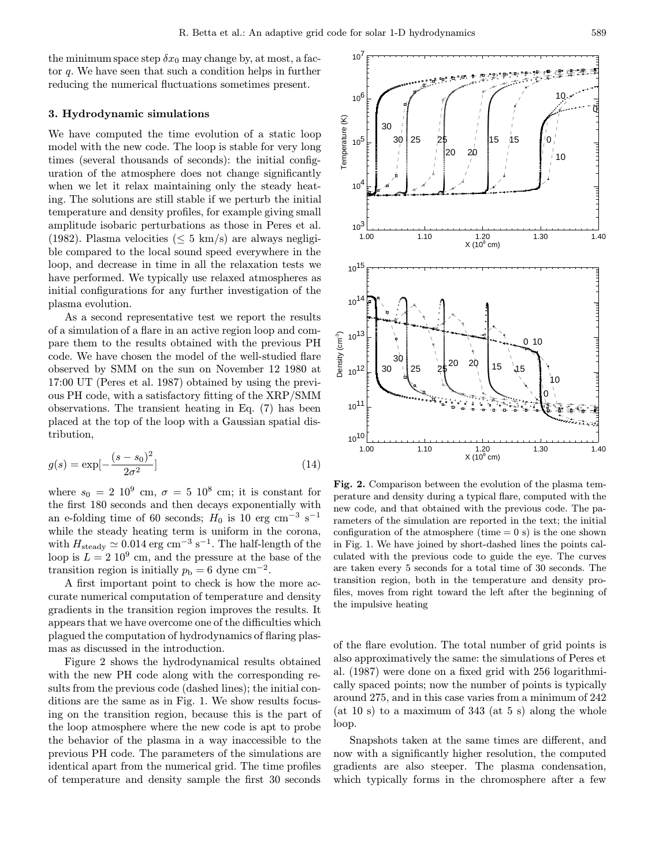107

the minimum space step  $\delta x_0$  may change by, at most, a factor q. We have seen that such a condition helps in further reducing the numerical fluctuations sometimes present.

## 3. Hydrodynamic simulations

We have computed the time evolution of a static loop model with the new code. The loop is stable for very long times (several thousands of seconds): the initial configuration of the atmosphere does not change significantly when we let it relax maintaining only the steady heating. The solutions are still stable if we perturb the initial temperature and density profiles, for example giving small amplitude isobaric perturbations as those in Peres et al. (1982). Plasma velocities ( $\leq 5$  km/s) are always negligible compared to the local sound speed everywhere in the loop, and decrease in time in all the relaxation tests we have performed. We typically use relaxed atmospheres as initial configurations for any further investigation of the plasma evolution.

As a second representative test we report the results of a simulation of a flare in an active region loop and compare them to the results obtained with the previous PH code. We have chosen the model of the well-studied flare observed by SMM on the sun on November 12 1980 at 17:00 UT (Peres et al. 1987) obtained by using the previous PH code, with a satisfactory fitting of the XRP/SMM observations. The transient heating in Eq. (7) has been placed at the top of the loop with a Gaussian spatial distribution,

$$
g(s) = \exp[-\frac{(s - s_0)^2}{2\sigma^2}]
$$
\n(14)

where  $s_0 = 2 \times 10^9$  cm,  $\sigma = 5 \times 10^8$  cm; it is constant for the first 180 seconds and then decays exponentially with an e-folding time of 60 seconds;  $H_0$  is 10 erg cm<sup>-3</sup> s<sup>-1</sup> while the steady heating term is uniform in the corona, with  $H_{\text{steady}} \simeq 0.014 \text{ erg cm}^{-3} \text{ s}^{-1}$ . The half-length of the loop is  $L = 2 \times 10^9$  cm, and the pressure at the base of the transition region is initially  $p_b = 6$  dyne cm<sup>-2</sup>.

A first important point to check is how the more accurate numerical computation of temperature and density gradients in the transition region improves the results. It appears that we have overcome one of the difficulties which plagued the computation of hydrodynamics of flaring plasmas as discussed in the introduction.

Figure 2 shows the hydrodynamical results obtained with the new PH code along with the corresponding results from the previous code (dashed lines); the initial conditions are the same as in Fig. 1. We show results focusing on the transition region, because this is the part of the loop atmosphere where the new code is apt to probe the behavior of the plasma in a way inaccessible to the previous PH code. The parameters of the simulations are identical apart from the numerical grid. The time profiles of temperature and density sample the first 30 seconds



Fig. 2. Comparison between the evolution of the plasma temperature and density during a typical flare, computed with the new code, and that obtained with the previous code. The parameters of the simulation are reported in the text; the initial configuration of the atmosphere (time  $= 0$  s) is the one shown in Fig. 1. We have joined by short-dashed lines the points calculated with the previous code to guide the eye. The curves are taken every 5 seconds for a total time of 30 seconds. The transition region, both in the temperature and density profiles, moves from right toward the left after the beginning of the impulsive heating

of the flare evolution. The total number of grid points is also approximatively the same: the simulations of Peres et al. (1987) were done on a fixed grid with 256 logarithmically spaced points; now the number of points is typically around 275, and in this case varies from a minimum of 242  $(at 10 s)$  to a maximum of 343 (at 5 s) along the whole loop.

Snapshots taken at the same times are different, and now with a significantly higher resolution, the computed gradients are also steeper. The plasma condensation, which typically forms in the chromosphere after a few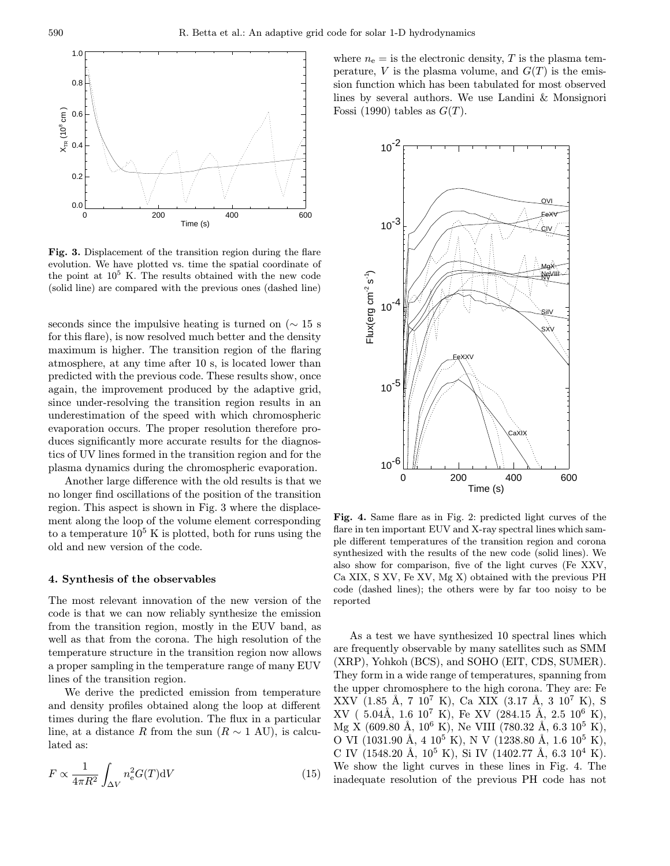

Fig. 3. Displacement of the transition region during the flare evolution. We have plotted vs. time the spatial coordinate of the point at  $10^5$  K. The results obtained with the new code (solid line) are compared with the previous ones (dashed line)

seconds since the impulsive heating is turned on ( $\sim 15$  s for this flare), is now resolved much better and the density maximum is higher. The transition region of the flaring atmosphere, at any time after 10 s, is located lower than predicted with the previous code. These results show, once again, the improvement produced by the adaptive grid, since under-resolving the transition region results in an underestimation of the speed with which chromospheric evaporation occurs. The proper resolution therefore produces significantly more accurate results for the diagnostics of UV lines formed in the transition region and for the plasma dynamics during the chromospheric evaporation.

Another large difference with the old results is that we no longer find oscillations of the position of the transition region. This aspect is shown in Fig. 3 where the displacement along the loop of the volume element corresponding to a temperature  $10^5$  K is plotted, both for runs using the old and new version of the code.

#### 4. Synthesis of the observables

The most relevant innovation of the new version of the code is that we can now reliably synthesize the emission from the transition region, mostly in the EUV band, as well as that from the corona. The high resolution of the temperature structure in the transition region now allows a proper sampling in the temperature range of many EUV lines of the transition region.

We derive the predicted emission from temperature and density profiles obtained along the loop at different times during the flare evolution. The flux in a particular line, at a distance R from the sun  $(R \sim 1 \text{ AU})$ , is calculated as:

$$
F \propto \frac{1}{4\pi R^2} \int_{\Delta V} n_e^2 G(T) dV
$$
 (15)

where  $n_e =$  is the electronic density, T is the plasma temperature, V is the plasma volume, and  $G(T)$  is the emission function which has been tabulated for most observed lines by several authors. We use Landini & Monsignori Fossi (1990) tables as  $G(T)$ .



Fig. 4. Same flare as in Fig. 2: predicted light curves of the flare in ten important EUV and X-ray spectral lines which sample different temperatures of the transition region and corona synthesized with the results of the new code (solid lines). We also show for comparison, five of the light curves (Fe XXV, Ca XIX, S XV, Fe XV, Mg X) obtained with the previous PH code (dashed lines); the others were by far too noisy to be reported

As a test we have synthesized 10 spectral lines which are frequently observable by many satellites such as SMM (XRP), Yohkoh (BCS), and SOHO (EIT, CDS, SUMER). They form in a wide range of temperatures, spanning from the upper chromosphere to the high corona. They are: Fe  $XXV$  (1.85 Å, 7 10<sup>7</sup> K), Ca XIX (3.17 Å, 3 10<sup>7</sup> K), S  $XV$  ( 5.04Å, 1.6 10<sup>7</sup> K), Fe XV (284.15 Å, 2.5 10<sup>6</sup> K), Mg X (609.80 Å,  $10^6$  K), Ne VIII (780.32 Å, 6.3  $10^5$  K), O VI (1031.90 Å, 4  $10^5$  K), N V (1238.80 Å, 1.6  $10^5$  K), C IV (1548.20 Å,  $10^5$  K), Si IV (1402.77 Å, 6.3  $10^4$  K). We show the light curves in these lines in Fig. 4. The inadequate resolution of the previous PH code has not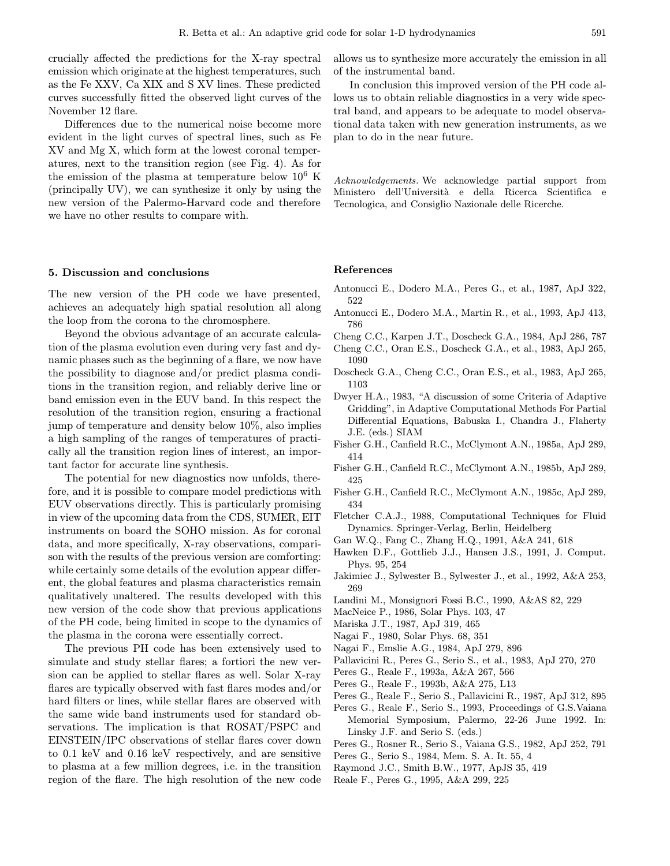crucially affected the predictions for the X-ray spectral emission which originate at the highest temperatures, such as the Fe XXV, Ca XIX and S XV lines. These predicted curves successfully fitted the observed light curves of the November 12 flare.

Differences due to the numerical noise become more evident in the light curves of spectral lines, such as Fe XV and Mg X, which form at the lowest coronal temperatures, next to the transition region (see Fig. 4). As for the emission of the plasma at temperature below  $10^6$  K (principally UV), we can synthesize it only by using the new version of the Palermo-Harvard code and therefore we have no other results to compare with.

#### 5. Discussion and conclusions

The new version of the PH code we have presented, achieves an adequately high spatial resolution all along the loop from the corona to the chromosphere.

Beyond the obvious advantage of an accurate calculation of the plasma evolution even during very fast and dynamic phases such as the beginning of a flare, we now have the possibility to diagnose and/or predict plasma conditions in the transition region, and reliably derive line or band emission even in the EUV band. In this respect the resolution of the transition region, ensuring a fractional jump of temperature and density below 10%, also implies a high sampling of the ranges of temperatures of practically all the transition region lines of interest, an important factor for accurate line synthesis.

The potential for new diagnostics now unfolds, therefore, and it is possible to compare model predictions with EUV observations directly. This is particularly promising in view of the upcoming data from the CDS, SUMER, EIT instruments on board the SOHO mission. As for coronal data, and more specifically, X-ray observations, comparison with the results of the previous version are comforting: while certainly some details of the evolution appear different, the global features and plasma characteristics remain qualitatively unaltered. The results developed with this new version of the code show that previous applications of the PH code, being limited in scope to the dynamics of the plasma in the corona were essentially correct.

The previous PH code has been extensively used to simulate and study stellar flares; a fortiori the new version can be applied to stellar flares as well. Solar X-ray flares are typically observed with fast flares modes and/or hard filters or lines, while stellar flares are observed with the same wide band instruments used for standard observations. The implication is that ROSAT/PSPC and EINSTEIN/IPC observations of stellar flares cover down to 0.1 keV and 0.16 keV respectively, and are sensitive to plasma at a few million degrees, i.e. in the transition region of the flare. The high resolution of the new code

allows us to synthesize more accurately the emission in all of the instrumental band.

In conclusion this improved version of the PH code allows us to obtain reliable diagnostics in a very wide spectral band, and appears to be adequate to model observational data taken with new generation instruments, as we plan to do in the near future.

Acknowledgements. We acknowledge partial support from Ministero dell'Università e della Ricerca Scientifica e Tecnologica, and Consiglio Nazionale delle Ricerche.

#### References

- Antonucci E., Dodero M.A., Peres G., et al., 1987, ApJ 322, 522
- Antonucci E., Dodero M.A., Martin R., et al., 1993, ApJ 413, 786
- Cheng C.C., Karpen J.T., Doscheck G.A., 1984, ApJ 286, 787
- Cheng C.C., Oran E.S., Doscheck G.A., et al., 1983, ApJ 265, 1090
- Doscheck G.A., Cheng C.C., Oran E.S., et al., 1983, ApJ 265, 1103
- Dwyer H.A., 1983, "A discussion of some Criteria of Adaptive Gridding", in Adaptive Computational Methods For Partial Differential Equations, Babuska I., Chandra J., Flaherty J.E. (eds.) SIAM
- Fisher G.H., Canfield R.C., McClymont A.N., 1985a, ApJ 289, 414
- Fisher G.H., Canfield R.C., McClymont A.N., 1985b, ApJ 289, 425
- Fisher G.H., Canfield R.C., McClymont A.N., 1985c, ApJ 289, 434
- Fletcher C.A.J., 1988, Computational Techniques for Fluid Dynamics. Springer-Verlag, Berlin, Heidelberg
- Gan W.Q., Fang C., Zhang H.Q., 1991, A&A 241, 618
- Hawken D.F., Gottlieb J.J., Hansen J.S., 1991, J. Comput. Phys. 95, 254
- Jakimiec J., Sylwester B., Sylwester J., et al., 1992, A&A 253, 269
- Landini M., Monsignori Fossi B.C., 1990, A&AS 82, 229
- MacNeice P., 1986, Solar Phys. 103, 47
- Mariska J.T., 1987, ApJ 319, 465
- Nagai F., 1980, Solar Phys. 68, 351
- Nagai F., Emslie A.G., 1984, ApJ 279, 896
- Pallavicini R., Peres G., Serio S., et al., 1983, ApJ 270, 270
- Peres G., Reale F., 1993a, A&A 267, 566
- Peres G., Reale F., 1993b, A&A 275, L13
- Peres G., Reale F., Serio S., Pallavicini R., 1987, ApJ 312, 895
- Peres G., Reale F., Serio S., 1993, Proceedings of G.S.Vaiana Memorial Symposium, Palermo, 22-26 June 1992. In: Linsky J.F. and Serio S. (eds.)
- Peres G., Rosner R., Serio S., Vaiana G.S., 1982, ApJ 252, 791
- Peres G., Serio S., 1984, Mem. S. A. It. 55, 4
- Raymond J.C., Smith B.W., 1977, ApJS 35, 419
- Reale F., Peres G., 1995, A&A 299, 225